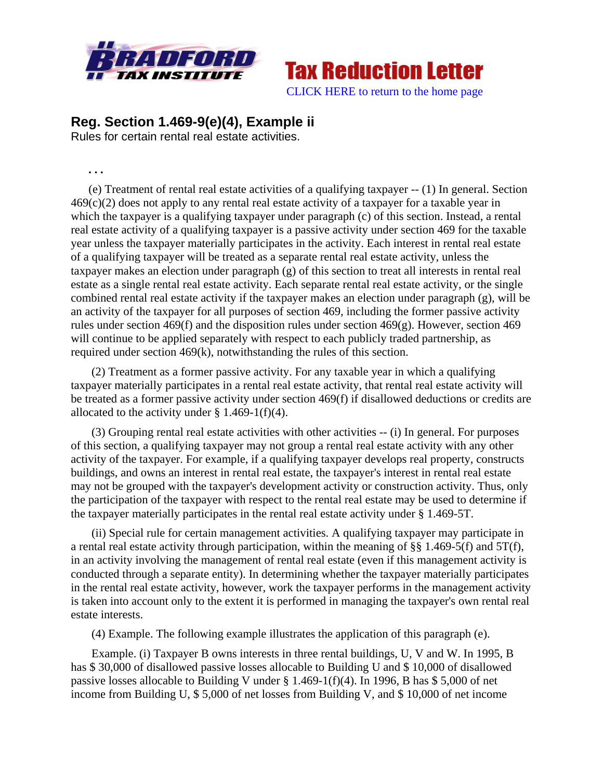

**Tax Reduction Letter** [CLICK HERE to return to the home page](http://bradfordtaxinstitute.com/index1.aspx) 

## **Reg. Section 1.469-9(e)(4), Example ii**

Rules for certain rental real estate activities.

**. . .** 

(e) Treatment of rental real estate activities of a qualifying taxpayer -- (1) In general. Section  $469(c)(2)$  does not apply to any rental real estate activity of a taxpayer for a taxable year in which the taxpayer is a qualifying taxpayer under paragraph (c) of this section. Instead, a rental real estate activity of a qualifying taxpayer is a passive activity under section 469 for the taxable year unless the taxpayer materially participates in the activity. Each interest in rental real estate of a qualifying taxpayer will be treated as a separate rental real estate activity, unless the taxpayer makes an election under paragraph (g) of this section to treat all interests in rental real estate as a single rental real estate activity. Each separate rental real estate activity, or the single combined rental real estate activity if the taxpayer makes an election under paragraph (g), will be an activity of the taxpayer for all purposes of section 469, including the former passive activity rules under section 469(f) and the disposition rules under section 469(g). However, section 469 will continue to be applied separately with respect to each publicly traded partnership, as required under section 469(k), notwithstanding the rules of this section.

 (2) Treatment as a former passive activity. For any taxable year in which a qualifying taxpayer materially participates in a rental real estate activity, that rental real estate activity will be treated as a former passive activity under section 469(f) if disallowed deductions or credits are allocated to the activity under  $\S 1.469-1(f)(4)$ .

 (3) Grouping rental real estate activities with other activities -- (i) In general. For purposes of this section, a qualifying taxpayer may not group a rental real estate activity with any other activity of the taxpayer. For example, if a qualifying taxpayer develops real property, constructs buildings, and owns an interest in rental real estate, the taxpayer's interest in rental real estate may not be grouped with the taxpayer's development activity or construction activity. Thus, only the participation of the taxpayer with respect to the rental real estate may be used to determine if the taxpayer materially participates in the rental real estate activity under § 1.469-5T.

 (ii) Special rule for certain management activities. A qualifying taxpayer may participate in a rental real estate activity through participation, within the meaning of §§ 1.469-5(f) and 5T(f), in an activity involving the management of rental real estate (even if this management activity is conducted through a separate entity). In determining whether the taxpayer materially participates in the rental real estate activity, however, work the taxpayer performs in the management activity is taken into account only to the extent it is performed in managing the taxpayer's own rental real estate interests.

(4) Example. The following example illustrates the application of this paragraph (e).

 Example. (i) Taxpayer B owns interests in three rental buildings, U, V and W. In 1995, B has \$ 30,000 of disallowed passive losses allocable to Building U and \$ 10,000 of disallowed passive losses allocable to Building V under § 1.469-1(f)(4). In 1996, B has \$ 5,000 of net income from Building U, \$ 5,000 of net losses from Building V, and \$ 10,000 of net income